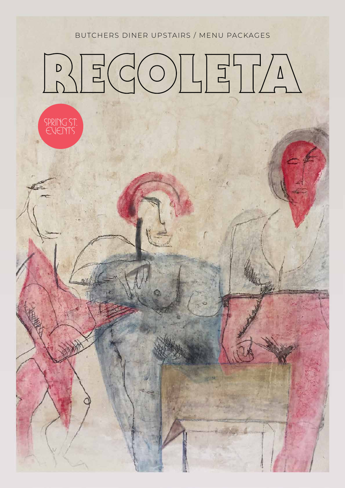BUTCHERS DINER UPSTAIRS / MENU PACKAGES

# $\sqrt{2}COLI$  $\begin{array}{c|c} & D \\ \hline & D \end{array}$

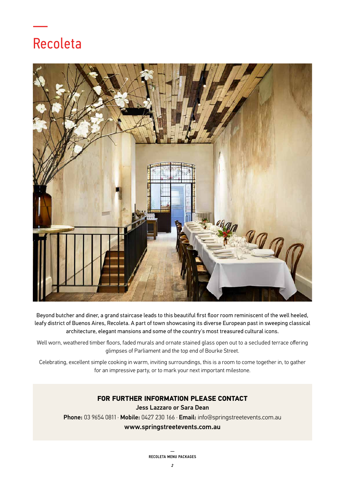## Recoleta

—



Beyond butcher and diner, a grand staircase leads to this beautiful first floor room reminiscent of the well heeled, leafy district of Buenos Aires, Recoleta. A part of town showcasing its diverse European past in sweeping classical architecture, elegant mansions and some of the country's most treasured cultural icons.

Well worn, weathered timber floors, faded murals and ornate stained glass open out to a secluded terrace offering glimpses of Parliament and the top end of Bourke Street.

Celebrating, excellent simple cooking in warm, inviting surroundings, this is a room to come together in, to gather for an impressive party, or to mark your next important milestone.

#### **FOR FURTHER INFORMATION PLEASE CONTACT**  Jess Lazzaro or Sara Dean

Phone: 03 9654 0811 · Mobile: 0427 230 166 · Email: info@springstreetevents.com.au www.springstreetevents.com.au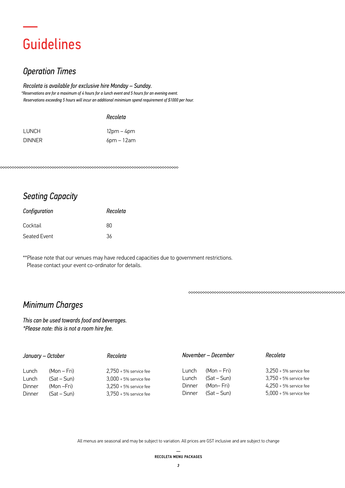## Guidelines

—

## *Operation Times*

*Recoleta is available for exclusive hire Monday – Sunday. \*Reservations are for a maximum of 4 hours for a lunch event and 5 hours for an evening event. Reservations exceeding 5 hours will incur an additional minimium spend requirement of \$1000 per hour.*

#### *Recoleta*

| LUNCH         | 12pm – 4pm    |
|---------------|---------------|
| <b>DINNER</b> | $6$ pm – 12am |

## *Seating Capacity*

| Configuration | Recoleta |
|---------------|----------|
| Cocktail      | RΠ       |
| Seated Event  | 36       |

\*\*Please note that our venues may have reduced capacities due to government restrictions. Please contact your event co-ordinator for details.

## *Minimum Charges*

*This can be used towards food and beverages. \*Please note: this is not a room hire fee.*

| January – October |             | Recoleta                 |               | November – December | Recoleta                 |
|-------------------|-------------|--------------------------|---------------|---------------------|--------------------------|
| Lunch             | (Mon – Fri) | $2.750 + 5%$ service fee | Lunch         | (Mon – Fri)         | $3,250 + 5%$ service fee |
| Lunch             | $(Sat-Sun)$ | $3.000 + 5%$ service fee | Lunch         | (Sat – Sun)         | $3,750 + 5%$ service fee |
| Dinner            | (Mon –Fri)  | $3,250 + 5%$ service fee | Dinner        | (Mon– Fri)          | $4,250 + 5%$ service fee |
| Dinner            | $(Sat-Sun)$ | $3.750 + 5%$ service fee | <b>Dinner</b> | (Sat – Sun)         | $5.000 + 5%$ service fee |

All menus are seasonal and may be subject to variation. All prices are GST inclusive and are subject to change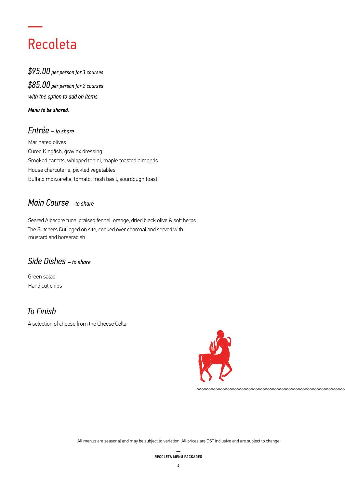## Recoleta

—

*\$95.00 per person for 3 courses \$85.00 per person for 2 courses with the option to add on items*

*Menu to be shared.*

### *Entrée – to share*

Marinated olives Cured Kingfish, gravlax dressing Smoked carrots, whipped tahini, maple toasted almonds House charcuterie, pickled vegetables Buffalo mozzarella, tomato, fresh basil, sourdough toast

### *Main Course – to share*

Seared Albacore tuna, braised fennel, orange, dried black olive & soft herbs The Butchers Cut: aged on site, cooked over charcoal and served with mustard and horseradish

### *Side Dishes – to share*

Green salad Hand cut chips

### *To Finish*

A selection of cheese from the Cheese Cellar

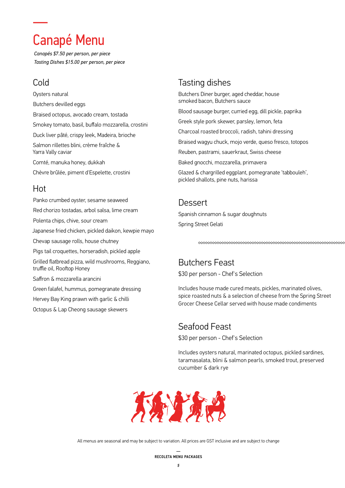## Canapé Menu

*Canapés \$7.50 per person, per piece Tasting Dishes \$15.00 per person, per piece*

## Cold

—

Oysters natural Butchers devilled eggs Braised octopus, avocado cream, tostada Smokey tomato, basil, buffalo mozzarella, crostini Duck liver pâté, crispy leek, Madeira, brioche Salmon rillettes blini, crème fraîche & Yarra Vally caviar Comté, manuka honey, dukkah Chèvre brûlée, piment d'Espelette, crostini

### Hot

Panko crumbed oyster, sesame seaweed Red chorizo tostadas, arbol salsa, lime cream Polenta chips, chive, sour cream Japanese fried chicken, pickled daikon, kewpie mayo Chevap sausage rolls, house chutney Pigs tail croquettes, horseradish, pickled apple Grilled flatbread pizza, wild mushrooms, Reggiano, truffle oil, Rooftop Honey Saffron & mozzarella arancini Green falafel, hummus, pomegranate dressing Hervey Bay King prawn with garlic & chilli Octopus & Lap Cheong sausage skewers

## Tasting dishes

Butchers Diner burger, aged cheddar, house smoked bacon, Butchers sauce

Blood sausage burger, curried egg, dill pickle, paprika

Greek style pork skewer, parsley, lemon, feta

Charcoal roasted broccoli, radish, tahini dressing

Braised wagyu chuck, mojo verde, queso fresco, totopos

Reuben, pastrami, sauerkraut, Swiss cheese

Baked gnocchi, mozzarella, primavera

Glazed & chargrilled eggplant, pomegranate 'tabbouleh', pickled shallots, pine nuts, harissa

### **Dessert**

Spanish cinnamon & sugar doughnuts Spring Street Gelati

## Butchers Feast

\$30 per person - Chef's Selection

Includes house made cured meats, pickles, marinated olives, spice roasted nuts & a selection of cheese from the Spring Street Grocer Cheese Cellar served with house made condiments

### Seafood Feast

\$30 per person - Chef's Selection

Includes oysters natural, marinated octopus, pickled sardines, taramasalata, blini & salmon pearls, smoked trout, preserved cucumber & dark rye

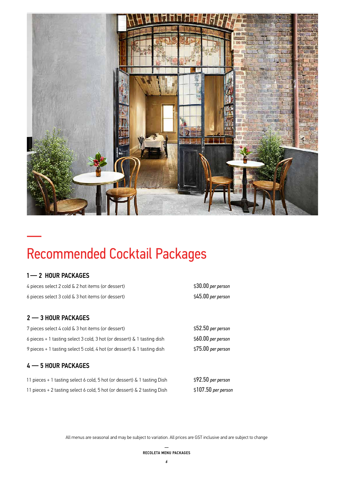

## Recommended Cocktail Packages

### 1— 2 HOUR PACKAGES

—

| 4 pieces select 2 cold & 2 hot items (or dessert)                          | \$30.00 per person  |
|----------------------------------------------------------------------------|---------------------|
| 6 pieces select 3 cold & 3 hot items (or dessert)                          | $$45.00$ per person |
|                                                                            |                     |
| $2 - 3$ HOUR PACKAGES                                                      |                     |
| 7 pieces select 4 cold & 3 hot items (or dessert)                          | \$52.50 per person  |
| 6 pieces + 1 tasting select 3 cold, 3 hot (or dessert) $\&$ 1 tasting dish | \$60.00 per person  |
| 9 pieces + 1 tasting select 5 cold, 4 hot (or dessert) & 1 tasting dish    | $$75.00$ per person |
| $4 - 5$ HOUR PACKAGES                                                      |                     |
| 11 pieces + 1 tasting select 6 cold, 5 hot (or dessert) & 1 tasting Dish   | $$92.50$ per person |
| 11 pieces + 2 tasting select 6 cold, 5 hot (or dessert) & 2 tasting Dish   | \$107.50 per person |
|                                                                            |                     |

All menus are seasonal and may be subject to variation. All prices are GST inclusive and are subject to change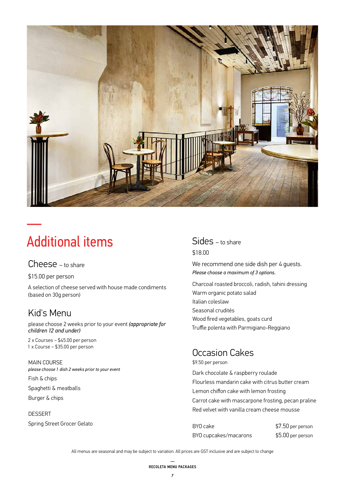

## Additional items

#### Cheese – to share

\$15.00 per person

—

A selection of cheese served with house made condiments (based on 30g person)

## Kid's Menu

please choose 2 weeks prior to your event *(appropriate for children 12 and under)*

2 x Courses ~ \$45.00 per person 1 x Course ~ \$35.00 per person

#### MAIN COURSE *please choose 1 dish 2 weeks prior to your event*

Fish & chips Spaghetti & meatballs

Burger & chips

#### **DESSERT** Spring Street Grocer Gelato

### Sides – to share \$18.00

We recommend one side dish per 4 quests. *Please choose a maximum of 3 options.*

Charcoal roasted broccoli, radish, tahini dressing Warm organic potato salad Italian coleslaw Seasonal crudités Wood fired vegetables, goats curd Truffle polenta with Parmigiano-Reggiano

## Occasion Cakes

\$9.50 per person

Dark chocolate & raspberry roulade Flourless mandarin cake with citrus butter cream Lemon chiffon cake with lemon frosting Carrot cake with mascarpone frosting, pecan praline Red velvet with vanilla cream cheese mousse

BYO cake \$7.50 per person BYO cupcakes/macarons \$5.00 per person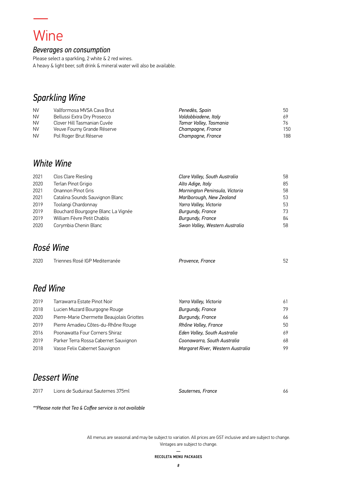## Wine

—<br>———

#### *Beverages on consumption*

Please select a sparkling, 2 white & 2 red wines. A heavy & light beer, soft drink & mineral water will also be available.

## *Sparkling Wine*

| <b>NV</b> | Vallformosa MVSA Cava Brut  | Penedès, Spain         | 50  |
|-----------|-----------------------------|------------------------|-----|
| <b>NV</b> | Bellussi Extra Dry Prosecco | Valdobbiadene, Italy   | 69  |
| <b>NV</b> | Clover Hill Tasmanian Cuvée | Tamar Valley, Tasmania | 76  |
| <b>NV</b> | Veuve Fourny Grande Réserve | Champagne, France      | 150 |
| <b>NV</b> | Pol Roger Brut Réserve      | Champagne, France      | 188 |

### *White Wine*

| 2021 | Clos Clare Riesling                | Clare Valley, South Australia  | 58 |
|------|------------------------------------|--------------------------------|----|
| 2020 | Terlan Pinot Grigio                | Alto Adige, Italy              | 85 |
| 2021 | Onannon Pinot Gris                 | Mornington Peninsula, Victoria | 58 |
| 2021 | Catalina Sounds Sauvignon Blanc    | Marlborough, New Zealand       | 53 |
| 2019 | Toolangi Chardonnay                | Yarra Valley, Victoria         | 53 |
| 2019 | Bouchard Bourgogne Blanc La Vignée | Burgundy, France               | 73 |
| 2019 | William Fèvre Petit Chablis        | Burgundy, France               | 84 |
| 2020 | Corymbia Chenin Blanc              | Swan Valley, Western Australia | 58 |

## *Rosé Wine*

| 2020 | Triennes Rosé IGP Mediterranée | Provence. France |  |
|------|--------------------------------|------------------|--|
|      |                                |                  |  |

## *Red Wine*

| 2019 | Tarrawarra Estate Pinot Noir               | Yarra Valley, Victoria            | 61 |
|------|--------------------------------------------|-----------------------------------|----|
| 2018 | Lucien Muzard Bourgogne Rouge              | Burgundy, France                  | 79 |
| 2020 | Pierre-Marie Chermette Beaujolais Griottes | Burgundy, France                  | 66 |
| 2019 | Pierre Amadieu Côtes-du-Rhône Rouge        | Rhône Valley, France              | 50 |
| 2016 | Poonawatta Four Corners Shiraz             | Eden Valley, South Australia      | 69 |
| 2019 | Parker Terra Rossa Cabernet Sauvignon      | Coonawarra, South Australia       | 68 |
| 2018 | Vasse Felix Cabernet Sauvignon             | Margaret River, Western Australia | 99 |

## *Dessert Wine*

| 2017 Lions de Suduiraut Sauternes 375ml | Sauternes, France | 66 |
|-----------------------------------------|-------------------|----|
|                                         |                   |    |

*\*\*Please note that Tea & Coffee service is not available*

All menus are seasonal and may be subject to variation. All prices are GST inclusive and are subject to change. Vintages are subject to change.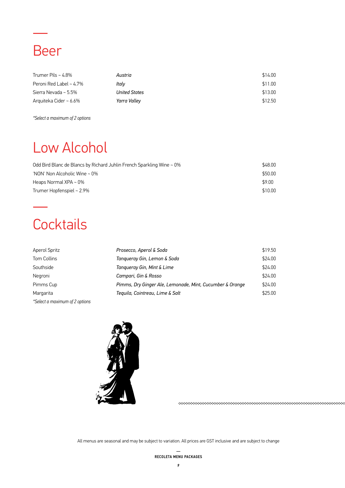## Beer

—

| Trumer Pils ~ $4.8\%$         | Austria              | \$14.00 |
|-------------------------------|----------------------|---------|
| Peroni Red Label $\sim 4.7\%$ | Italv                | \$11.00 |
| Sierra Nevada ~ 5.5%          | <b>United States</b> | \$13.00 |
| Arquiteka Cider ~ 6.6%        | Yarra Valley         | \$12.50 |

*\*Select a maximum of 2 options*

## Low Alcohol

| Odd Bird Blanc de Blancs by Richard Juhlin French Sparkling Wine $\sim 0\%$ | \$48.00 |
|-----------------------------------------------------------------------------|---------|
| 'NON' Non Alcoholic Wine ~ $0\%$                                            | \$50.00 |
| Heaps Normal XPA $\sim$ 0%                                                  | \$9.00  |
| Trumer Hopfenspiel $\sim 2.9\%$                                             | \$10.00 |

## **Cocktails**

—

| <b>Aperol Spritz</b>           | Prosecco, Aperol & Soda                                  | \$19.50 |
|--------------------------------|----------------------------------------------------------|---------|
| Tom Collins                    | Tangueray Gin, Lemon & Soda                              | \$24.00 |
| Southside                      | Tangueray Gin, Mint & Lime                               | \$24.00 |
| Negroni                        | Campari, Gin & Rosso                                     | \$24.00 |
| Pimms Cup                      | Pimms, Dry Ginger Ale, Lemonade, Mint, Cucumber & Orange | \$24.00 |
| Margarita                      | Tequila, Cointreau, Lime & Salt                          | \$25.00 |
| *Select a maximum of 2 options |                                                          |         |



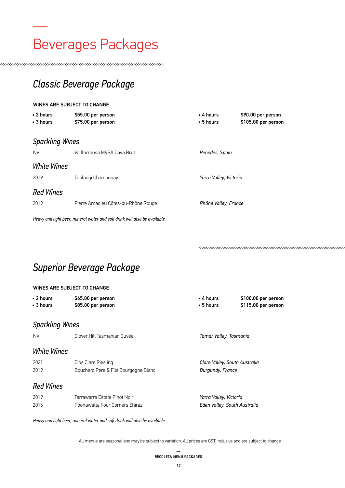## — Beverages Packages

*Classic Beverage Package*

#### WINES ARE SUBJECT TO CHANGE

| • 2 hours<br>• 3 hours | \$55.00 per person<br>\$75.00 per person                                  | $\bullet$ 4 hours<br>$\cdot$ 5 hours | \$90.00 per person<br>\$105.00 per person |
|------------------------|---------------------------------------------------------------------------|--------------------------------------|-------------------------------------------|
| <b>Sparkling Wines</b> |                                                                           |                                      |                                           |
| <b>NV</b>              | Vallformosa MVSA Cava Brut                                                | Penedès, Spain                       |                                           |
| <b>White Wines</b>     |                                                                           |                                      |                                           |
| 2019                   | Toolangi Chardonnay                                                       | Yarra Valley, Victoria               |                                           |
| <b>Red Wines</b>       |                                                                           |                                      |                                           |
| 2019                   | Pierre Amadieu Côtes-du-Rhône Rouge                                       | Rhône Valley, France                 |                                           |
|                        | Heavy and light beer, mineral water and soft drink will also be available |                                      |                                           |

*Superior Beverage Package*

#### WINES ARE SUBJECT TO CHANGE

| • 2 hours              | \$65.00 per person | $\bullet$ 4 hours | \$100.00 per person |
|------------------------|--------------------|-------------------|---------------------|
| • 3 hours              | \$85.00 per person | $\bullet$ 5 hours | \$115.00 per person |
|                        |                    |                   |                     |
| <b>Sparkling Wines</b> |                    |                   |                     |

#### *Sparkling Wines*

| <b>NV</b>          | Clover Hill Tasmanian Cuvée                                 | Tamar Valley, Tasmania                            |
|--------------------|-------------------------------------------------------------|---------------------------------------------------|
| <b>White Wines</b> |                                                             |                                                   |
| 2021<br>2019       | Clos Clare Riesling<br>Bouchard Pere & Fils Bourgogne Blanc | Clare Valley, South Australia<br>Burgundy, France |
| <b>Red Wines</b>   |                                                             |                                                   |
| 2019               | Tarrawarra Estate Pinot Noir                                | Yarra Valley, Victoria                            |
| 2016               | Poonawatta Four Corners Shiraz                              | Eden Valley, South Australia                      |

*Heavy and light beer, mineral water and soft drink will also be available*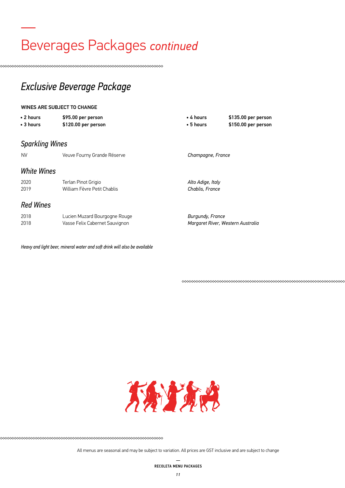## Beverages Packages *continued*

## *Exclusive Beverage Package*

#### WINES ARE SUBJECT TO CHANGE

—<br>————

| $\cdot$ 2 hours<br>$\bullet$ 3 hours | \$95.00 per person<br>\$120.00 per person                                 | • 4 hours<br>$\bullet$ 5 hours       | \$135.00 per person<br>\$150.00 per person |
|--------------------------------------|---------------------------------------------------------------------------|--------------------------------------|--------------------------------------------|
| <b>Sparkling Wines</b>               |                                                                           |                                      |                                            |
| <b>NV</b>                            | Veuve Fourny Grande Réserve                                               | Champagne, France                    |                                            |
| <b>White Wines</b>                   |                                                                           |                                      |                                            |
| 2020<br>2019                         | Terlan Pinot Grigio<br>William Fèvre Petit Chablis                        | Alto Adige, Italy<br>Chablis, France |                                            |
| <b>Red Wines</b>                     |                                                                           |                                      |                                            |
| 2018<br>2018                         | Lucien Muzard Bourgogne Rouge<br>Vasse Felix Cabernet Sauvignon           | Burgundy, France                     | Margaret River, Western Australia          |
|                                      | Heavy and light beer, mineral water and soft drink will also be available |                                      |                                            |



All menus are seasonal and may be subject to variation. All prices are GST inclusive and are subject to change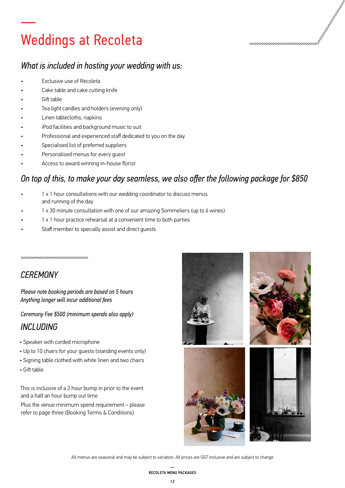## Weddings at Recoleta

### *What is included in hosting your wedding with us:*

- Exclusive use of Recoleta
- Cake table and cake cutting knife
- Gift table

—

- Tea light candles and holders (evening only)
- Linen tablecloths, napkins
- iPod facilities and background music to suit
- Professional and experienced staff dedicated to you on the day
- Specialised list of preferred suppliers
- Personalised menus for every quest
- Access to award winning in-house florist

### *On top of this, to make your day seamless, we also offer the following package for \$850*

- 1 x 1 hour consultations with our wedding coordinator to discuss menus and running of the day
- 1 x 30 minute consultation with one of our amazing Sommeliers (up to 6 wines)
- 1 x 1 hour practice rehearsal at a convenient time to both parties
- Staff member to specially assist and direct guests

\*\*\*\*\*\*\*\*\*\*\*\*\*\*\*\*\*\*\*\*\*\*\*\*\*\*\*\*

### *CEREMONY*

*Please note booking periods are based on 5 hours Anything longer will incur additional fees*

*Ceremony Fee \$500 (minimum spends also apply)*

### *INCLUDING*

- Speaker with corded microphone
- Up to 10 chairs for your guests (standing events only)
- Signing table clothed with white linen and two chairs
- Gift table

This is inclusive of a 2 hour bump in prior to the event and a half an hour bump out time

Plus the venue minimum spend requirement – please refer to page three (Booking Terms & Conditions)



The contract of the contract of the contract of the contract of the contract of the contract of the contract of the contract of the contract of the contract of the contract of the contract of the contract of the contract o

<u>www.www.www.www.</u>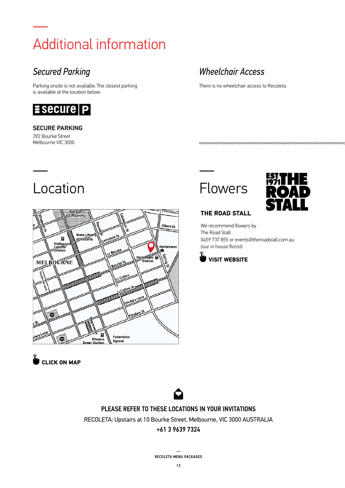## — Additional information

## *Secured Parking*

Parking onsite is not available. The closest parking is available at the location below:



#### SECURE PARKING

392 Bourke Street Melbourne VIC 3000

—

## Location



## **[CLICK ON MAP](https://www.google.com.au/maps/place/10+Bourke+St,+Melbourne+VIC+3000/data=!4m2!3m1!1s0x6ad642c6072d8789:0xb62fd40e51080efa?sa=X&ved=0ahUKEwjStbqakKjWAhXET7wKHTGYC3EQ8gEIKjAA)**

## *Wheelchair Access*

There is no wheelchair access to Recoleta.

\*\*\*\*\*\*\*\*\*\*\*\*\*\*\*\*\*\*\*\*\*\*\*\*\*\*\*\*\*\*\*\*\*\*\*\*\*

## Flowers

—



#### **THE ROAD STALL**

We recommend flowers by The Road Stall 0459 737 855 or events@theroadstall.com.au (our in house florist)





PLEASE REFER TO THESE LOCATIONS IN YOUR INVITATIONS RECOLETA: Upstairs at 10 Bourke Street, Melbourne, VIC 3000 AUSTRALIA

#### +61 3 9639 7324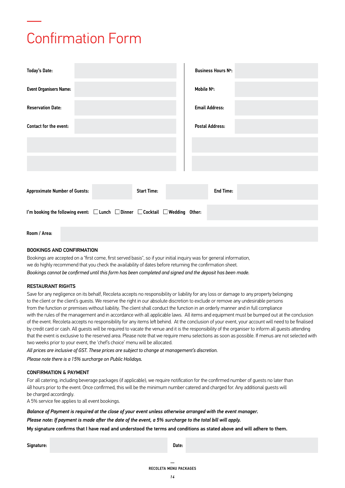## —<br>———— Confirmation Form

| <b>Today's Date:</b>                                                                              | <b>Business Hours Nº:</b> |
|---------------------------------------------------------------------------------------------------|---------------------------|
| <b>Event Organisers Name:</b>                                                                     | Mobile N°:                |
| <b>Reservation Date:</b>                                                                          | <b>Email Address:</b>     |
| Contact for the event:                                                                            | <b>Postal Address:</b>    |
|                                                                                                   |                           |
|                                                                                                   |                           |
|                                                                                                   |                           |
| <b>Approximate Number of Guests:</b><br><b>Start Time:</b>                                        | <b>End Time:</b>          |
| I'm booking the following event: $\Box$ Lunch $\Box$ Dinner $\Box$ Cocktail $\Box$ Wedding Other: |                           |
| Room / Area:                                                                                      |                           |

#### BOOKINGS AND CONFIRMATION

Bookings are accepted on a "first come, first served basis", so if your initial inquiry was for general information, we do highly recommend that you check the availability of dates before returning the confirmation sheet. *Bookings cannot be confirmed until this form has been completed and signed and the deposit has been made.*

#### RESTAURANT RIGHTS

Save for any negligence on its behalf, Recoleta accepts no responsibility or liability for any loss or damage to any property belonging to the client or the client's guests. We reserve the right in our absolute discretion to exclude or remove any undesirable persons from the function or premises without liability. The client shall conduct the function in an orderly manner and in full compliance with the rules of the management and in accordance with all applicable laws. All items and equipment must be bumped out at the conclusion of the event. Recoleta accepts no responsibility for any items left behind. At the conclusion of your event, your account will need to be finalised by credit card or cash. All guests will be required to vacate the venue and it is the responsibility of the organiser to inform all guests attending that the event is exclusive to the reserved area. Please note that we require menu selections as soon as possible. If menus are not selected with two weeks prior to your event, the 'chef's choice' menu will be allocated.

*All prices are inclusive of GST. These prices are subject to change at management's discretion.*

*Please note there is a 15% surcharge on Public Holidays.*

#### CONFIRMATION & PAYMENT

For all catering, including beverage packages (if applicable), we require notification for the confirmed number of guests no later than 48 hours prior to the event. Once confirmed, this will be the minimum number catered and charged for. Any additional guests will be charged accordingly.

A 5% service fee applies to all event bookings.

*Balance of Payment is required at the close of your event unless otherwise arranged with the event manager.*

*Please note: If payment is made after the date of the event, a 5% surcharge to the total bill will apply.*

My signature confirms that I have read and understood the terms and conditions as stated above and will adhere to them.

Signature: Date: Date: Date: Date: Date: Date: Date: Date: Date: Date: Date: Date: Date: Date: Date: Date: Date: Date: Date: Date: Date: Date: Date: Date: Date: Date: Date: Date: Date: Date: Date: Date: Date: Date: Date: D